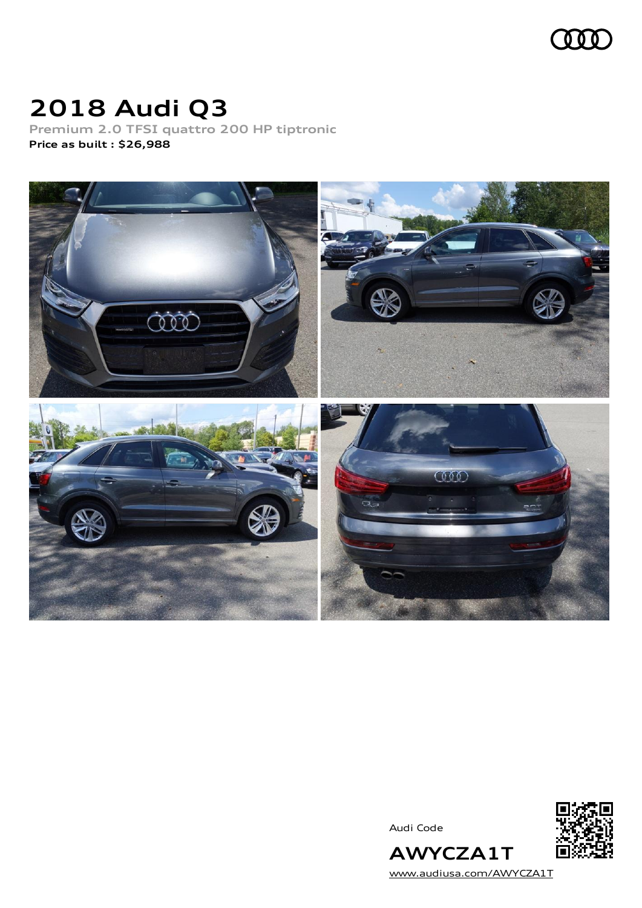

# **2018 Audi Q3**

**Premium 2.0 TFSI quattro 200 HP tiptronic Price as built [:](#page-8-0) \$26,988**



Audi Code



**AWYCZA1T** [www.audiusa.com/AWYCZA1T](https://www.audiusa.com/AWYCZA1T)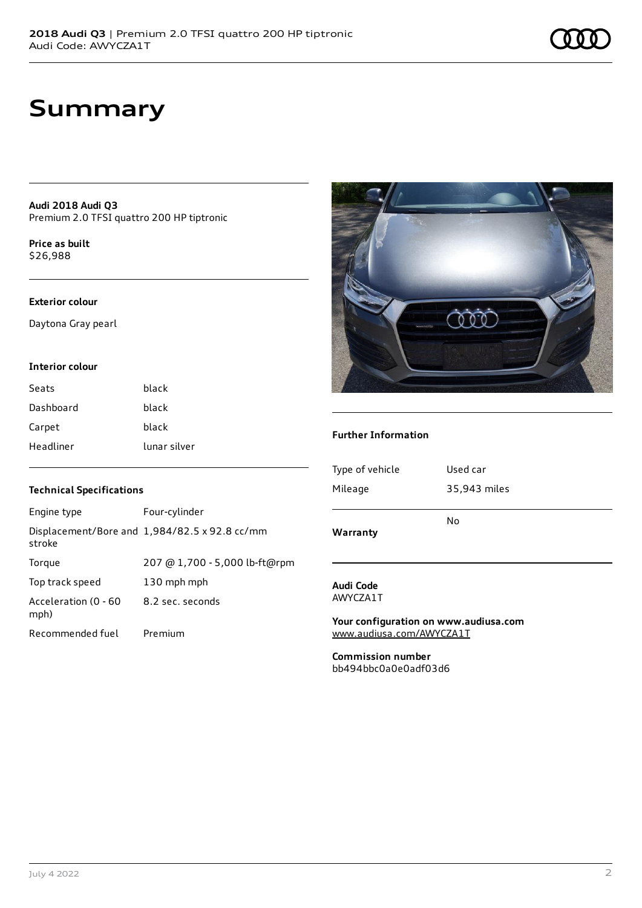### **Summary**

**Audi 2018 Audi Q3** Premium 2.0 TFSI quattro 200 HP tiptronic

**Price as buil[t](#page-8-0)** \$26,988

#### **Exterior colour**

Daytona Gray pearl

#### **Interior colour**

| Seats     | black        |
|-----------|--------------|
| Dashboard | black        |
| Carpet    | black        |
| Headliner | lunar silver |

### **Technical Specifications**

| Engine type                  | Four-cylinder                                 |
|------------------------------|-----------------------------------------------|
| stroke                       | Displacement/Bore and 1,984/82.5 x 92.8 cc/mm |
| Torque                       | 207 @ 1,700 - 5,000 lb-ft@rpm                 |
| Top track speed              | 130 mph mph                                   |
| Acceleration (0 - 60<br>mph) | 8.2 sec. seconds                              |
| Recommended fuel             | Premium                                       |



#### **Further Information**

| Warranty        |              |
|-----------------|--------------|
|                 | No           |
| Mileage         | 35,943 miles |
| Type of vehicle | Used car     |
|                 |              |

#### **Audi Code** AWYCZA1T

**Your configuration on www.audiusa.com** [www.audiusa.com/AWYCZA1T](https://www.audiusa.com/AWYCZA1T)

**Commission number** bb494bbc0a0e0adf03d6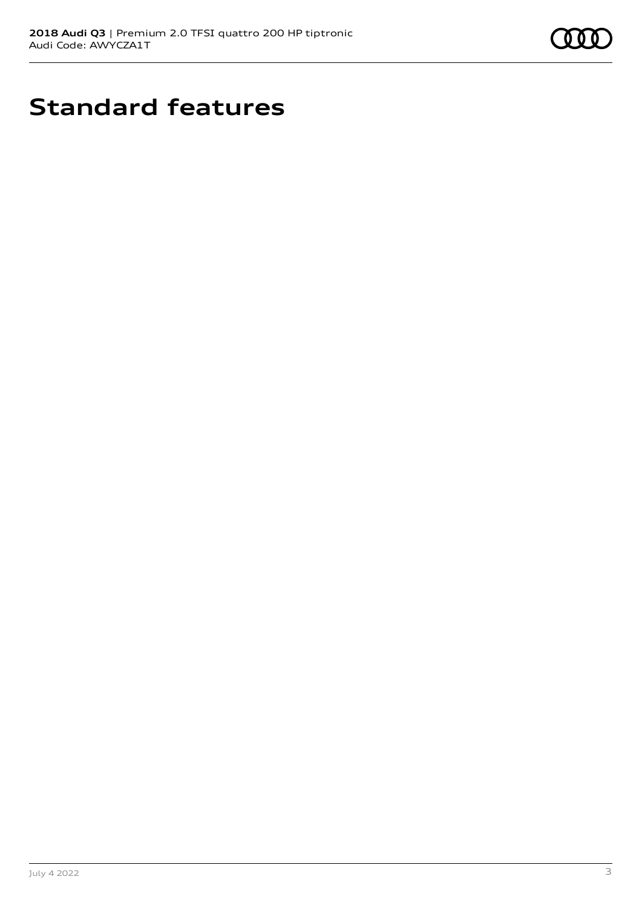

## **Standard features**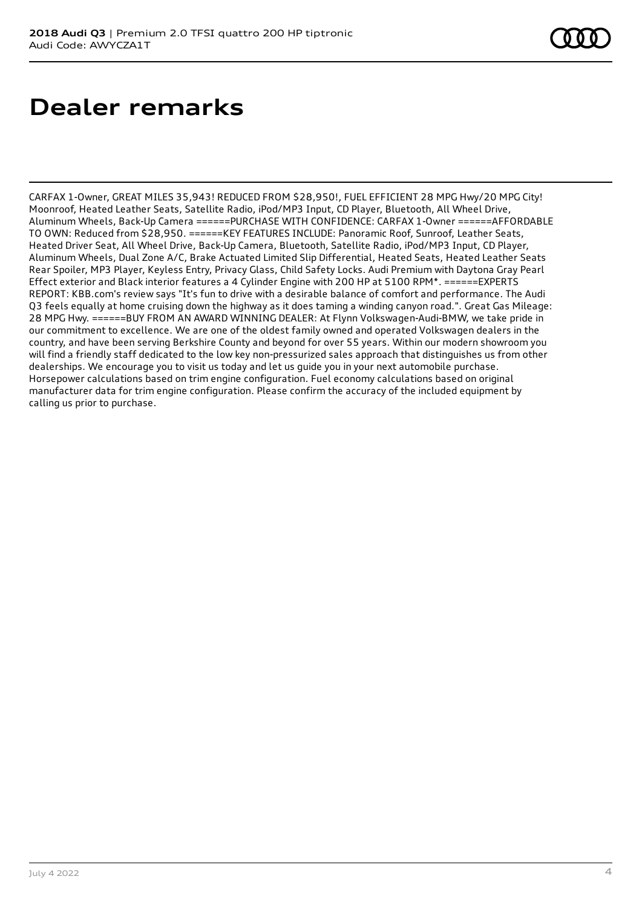## **Dealer remarks**

CARFAX 1-Owner, GREAT MILES 35,943! REDUCED FROM \$28,950!, FUEL EFFICIENT 28 MPG Hwy/20 MPG City! Moonroof, Heated Leather Seats, Satellite Radio, iPod/MP3 Input, CD Player, Bluetooth, All Wheel Drive, Aluminum Wheels, Back-Up Camera ======PURCHASE WITH CONFIDENCE: CARFAX 1-Owner ======AFFORDABLE TO OWN: Reduced from \$28,950. ======KEY FEATURES INCLUDE: Panoramic Roof, Sunroof, Leather Seats, Heated Driver Seat, All Wheel Drive, Back-Up Camera, Bluetooth, Satellite Radio, iPod/MP3 Input, CD Player, Aluminum Wheels, Dual Zone A/C, Brake Actuated Limited Slip Differential, Heated Seats, Heated Leather Seats Rear Spoiler, MP3 Player, Keyless Entry, Privacy Glass, Child Safety Locks. Audi Premium with Daytona Gray Pearl Effect exterior and Black interior features a 4 Cylinder Engine with 200 HP at 5100 RPM\*. ======EXPERTS REPORT: KBB.com's review says "It's fun to drive with a desirable balance of comfort and performance. The Audi Q3 feels equally at home cruising down the highway as it does taming a winding canyon road.". Great Gas Mileage: 28 MPG Hwy. ======BUY FROM AN AWARD WINNING DEALER: At Flynn Volkswagen-Audi-BMW, we take pride in our commitment to excellence. We are one of the oldest family owned and operated Volkswagen dealers in the country, and have been serving Berkshire County and beyond for over 55 years. Within our modern showroom you will find a friendly staff dedicated to the low key non-pressurized sales approach that distinguishes us from other dealerships. We encourage you to visit us today and let us guide you in your next automobile purchase. Horsepower calculations based on trim engine configuration. Fuel economy calculations based on original manufacturer data for trim engine configuration. Please confirm the accuracy of the included equipment by calling us prior to purchase.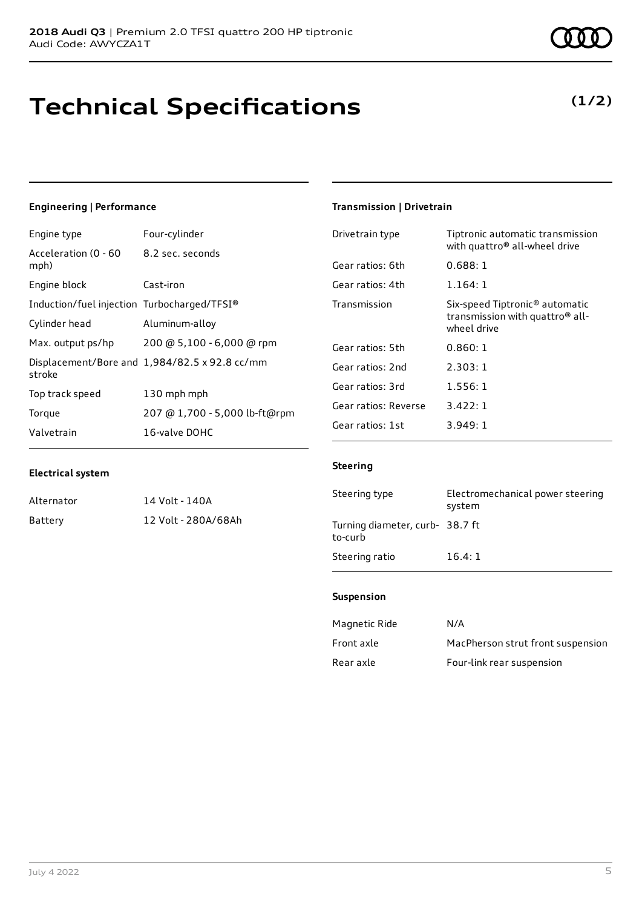# **Technical Specifications**

### **Engineering | Performance**

| Engine type                                 | Four-cylinder                                 |
|---------------------------------------------|-----------------------------------------------|
| Acceleration (0 - 60<br>mph)                | 8.2 sec. seconds                              |
| Engine block                                | Cast-iron                                     |
| Induction/fuel injection Turbocharged/TFSI® |                                               |
| Cylinder head                               | Aluminum-alloy                                |
| Max. output ps/hp                           | 200 @ 5,100 - 6,000 @ rpm                     |
| stroke                                      | Displacement/Bore and 1,984/82.5 x 92.8 cc/mm |
| Top track speed                             | 130 mph mph                                   |
| Torque                                      | 207 @ 1,700 - 5,000 lb-ft@rpm                 |
| Valvetrain                                  | 16-valve DOHC                                 |

#### **Electrical system**

| Alternator | 14 Volt - 140A      |
|------------|---------------------|
| Battery    | 12 Volt - 280A/68Ah |

### **Transmission | Drivetrain**

| Drivetrain type      | Tiptronic automatic transmission<br>with quattro <sup>®</sup> all-wheel drive                            |
|----------------------|----------------------------------------------------------------------------------------------------------|
| Gear ratios: 6th     | 0.688:1                                                                                                  |
| Gear ratios: 4th     | 1.164:1                                                                                                  |
| Transmission         | Six-speed Tiptronic <sup>®</sup> automatic<br>transmission with quattro <sup>®</sup> all-<br>wheel drive |
| Gear ratios: 5th     | 0.860:1                                                                                                  |
| Gear ratios: 2nd     | 2.303:1                                                                                                  |
| Gear ratios: 3rd     | 1.556:1                                                                                                  |
| Gear ratios: Reverse | 3.422:1                                                                                                  |
| Gear ratios: 1st     | 3.949: 1                                                                                                 |

#### **Steering**

| Steering type                              | Electromechanical power steering<br>system |
|--------------------------------------------|--------------------------------------------|
| Turning diameter, curb- 38.7 ft<br>to-curb |                                            |
| Steering ratio                             | 16.4:1                                     |

#### **Suspension**

| Magnetic Ride | N/A                               |
|---------------|-----------------------------------|
| Front axle    | MacPherson strut front suspension |
| Rear axle     | Four-link rear suspension         |



### **(1/2)**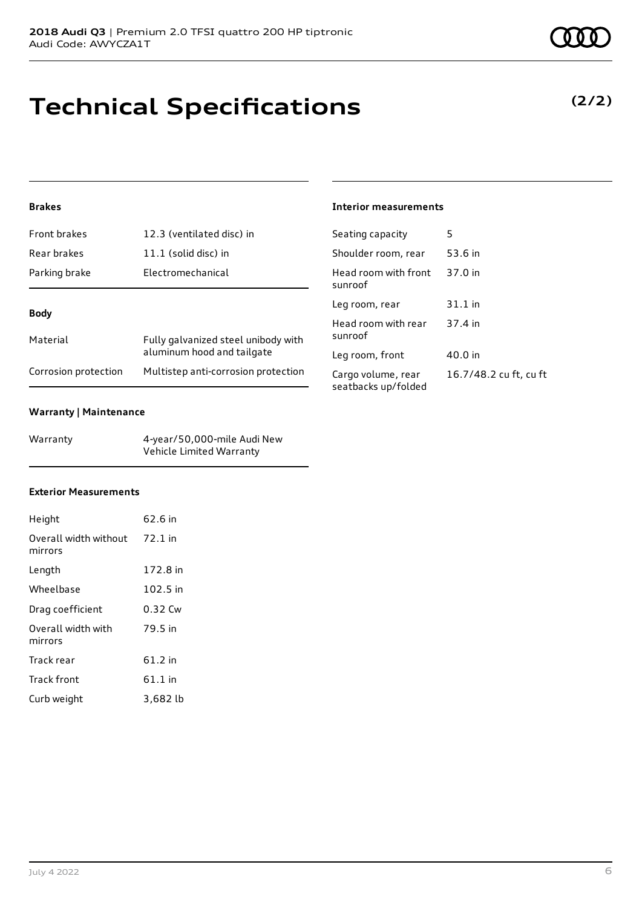# **Technical Specifications**

#### **Brakes**

| Front brakes         | 12.3 (ventilated disc) in                                         |
|----------------------|-------------------------------------------------------------------|
| Rear brakes          | $11.1$ (solid disc) in                                            |
| Parking brake        | Electromechanical                                                 |
|                      |                                                                   |
| <b>Body</b>          |                                                                   |
| Material             | Fully galvanized steel unibody with<br>aluminum hood and tailgate |
| Corrosion protection | Multistep anti-corrosion protection                               |

#### **Warranty | Maintenance**

| Warranty | 4-year/50,000-mile Audi New |
|----------|-----------------------------|
|          | Vehicle Limited Warranty    |

#### **Exterior Measurements**

| Height                                   | 62.6 in   |
|------------------------------------------|-----------|
| Overall width without 72.1 in<br>mirrors |           |
| Length                                   | 172.8 in  |
| Wheelbase                                | 102.5 in  |
| Drag coefficient                         | 0.32 Cw   |
| Overall width with<br>mirrors            | 79.5 in   |
| Track rear                               | 61.2 in   |
| Track front                              | $61.1$ in |
| Curb weight                              | 3,682 lb  |

#### **Interior measurements**

| Seating capacity                          | 5                      |
|-------------------------------------------|------------------------|
| Shoulder room, rear                       | 53.6 in                |
| Head room with front<br>sunroof           | 37.0 in                |
| Leg room, rear                            | 31.1 in                |
| Head room with rear<br>sunroof            | 37.4 in                |
| Leg room, front                           | 40.0 in                |
| Cargo volume, rear<br>seatbacks up/folded | 16.7/48.2 cu ft, cu ft |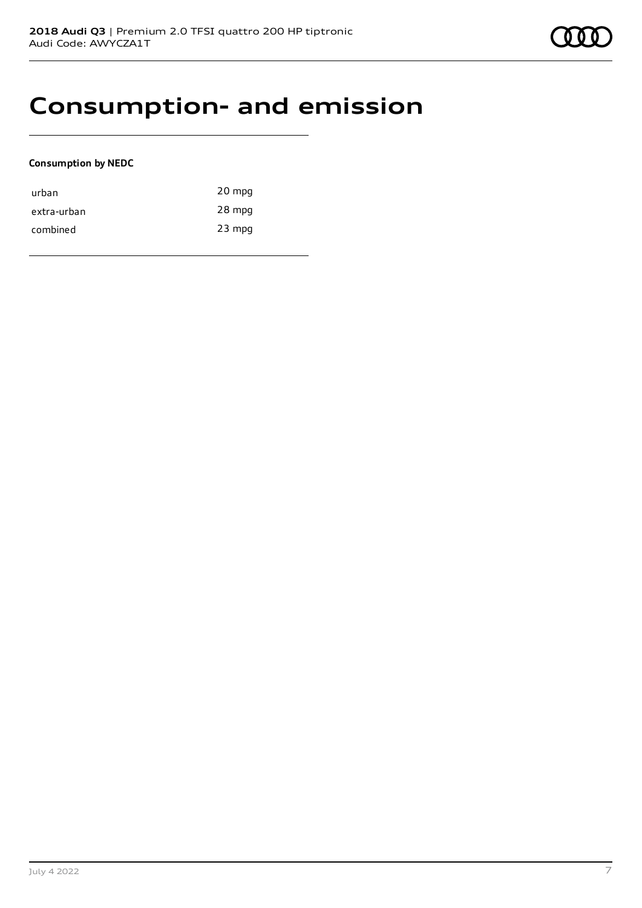### **Consumption- and emission**

#### **Consumption by NEDC**

| urban       | 20 mpg   |
|-------------|----------|
| extra-urban | 28 mpg   |
| combined    | $23$ mpg |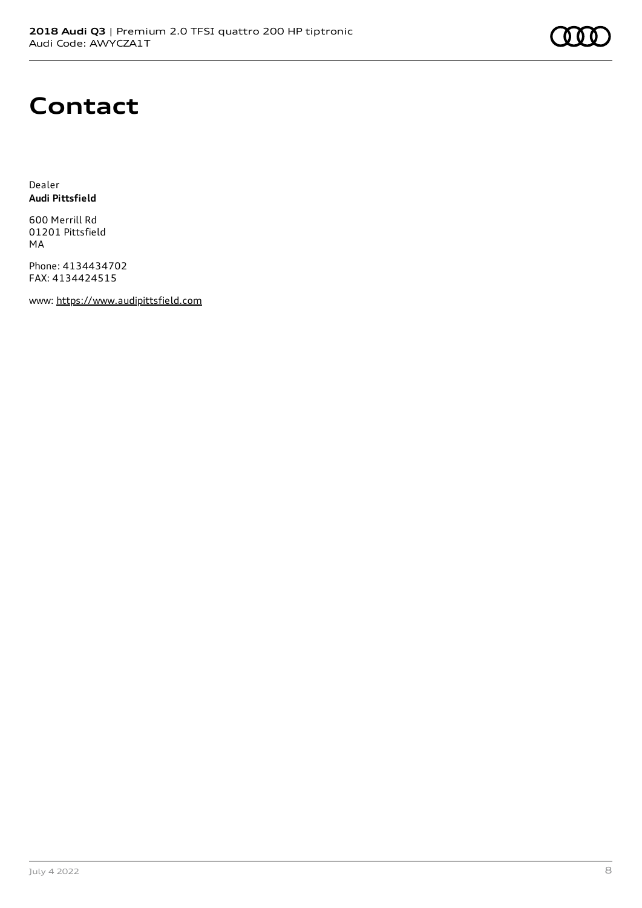# **Contact**

Dealer **Audi Pittsfield**

600 Merrill Rd 01201 Pittsfield MA

Phone: 4134434702 FAX: 4134424515

www: [https://www.audipittsfield.com](https://www.audipittsfield.com/)